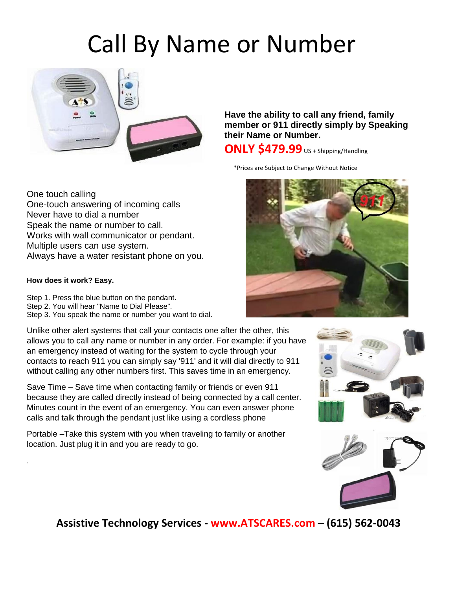# Call By Name or Number



One touch calling One-touch answering of incoming calls Never have to dial a number Speak the name or number to call. Works with wall communicator or pendant. Multiple users can use system. Always have a water resistant phone on you.

#### **How does it work? Easy.**

.

- Step 1. Press the blue button on the pendant.
- Step 2. You will hear "Name to Dial Please".
- Step 3. You speak the name or number you want to dial.

Unlike other alert systems that call your contacts one after the other, this allows you to call any name or number in any order. For example: if you have an emergency instead of waiting for the system to cycle through your contacts to reach 911 you can simply say '911' and it will dial directly to 911 without calling any other numbers first. This saves time in an emergency.

Save Time – Save time when contacting family or friends or even 911 because they are called directly instead of being connected by a call center. Minutes count in the event of an emergency. You can even answer phone calls and talk through the pendant just like using a cordless phone

Portable –Take this system with you when traveling to family or another location. Just plug it in and you are ready to go.

**Have the ability to call any friend, family member or 911 directly simply by Speaking their Name or Number.**

#### **ONLY \$479.99** US + Shipping/Handling

\*Prices are Subject to Change Without Notice







 **Assistive Technology Services - www.ATSCARES.com – (615) 562-0043**